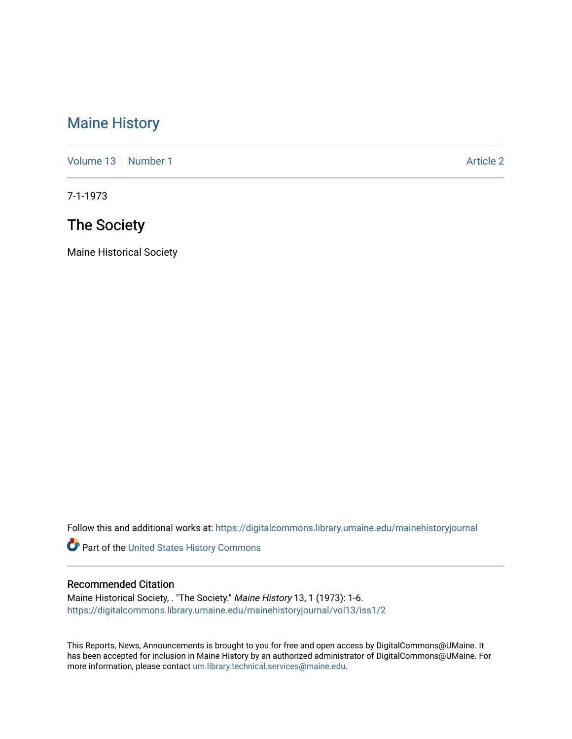## [Maine History](https://digitalcommons.library.umaine.edu/mainehistoryjournal)

[Volume 13](https://digitalcommons.library.umaine.edu/mainehistoryjournal/vol13) [Number 1](https://digitalcommons.library.umaine.edu/mainehistoryjournal/vol13/iss1) Article 2

7-1-1973

## The Society

Maine Historical Society

Follow this and additional works at: [https://digitalcommons.library.umaine.edu/mainehistoryjournal](https://digitalcommons.library.umaine.edu/mainehistoryjournal?utm_source=digitalcommons.library.umaine.edu%2Fmainehistoryjournal%2Fvol13%2Fiss1%2F2&utm_medium=PDF&utm_campaign=PDFCoverPages) 

Part of the [United States History Commons](http://network.bepress.com/hgg/discipline/495?utm_source=digitalcommons.library.umaine.edu%2Fmainehistoryjournal%2Fvol13%2Fiss1%2F2&utm_medium=PDF&utm_campaign=PDFCoverPages) 

#### Recommended Citation

Maine Historical Society, . "The Society." Maine History 13, 1 (1973): 1-6. [https://digitalcommons.library.umaine.edu/mainehistoryjournal/vol13/iss1/2](https://digitalcommons.library.umaine.edu/mainehistoryjournal/vol13/iss1/2?utm_source=digitalcommons.library.umaine.edu%2Fmainehistoryjournal%2Fvol13%2Fiss1%2F2&utm_medium=PDF&utm_campaign=PDFCoverPages)

This Reports, News, Announcements is brought to you for free and open access by DigitalCommons@UMaine. It has been accepted for inclusion in Maine History by an authorized administrator of DigitalCommons@UMaine. For more information, please contact [um.library.technical.services@maine.edu](mailto:um.library.technical.services@maine.edu).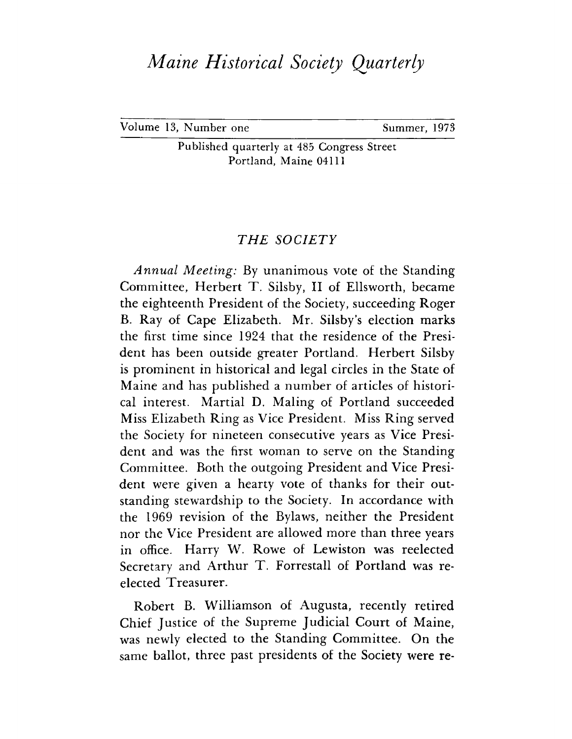# *Maine Historical Society Quarterly*

Volume 13, Number one Summer, 1973

Published quarterly at 485 Congress Street Portland, Maine 04111

### *THE SOCIETY*

*Annual Meeting:* By unanimous vote of the Standing Committee, Herbert T. Silsby, II of Ellsworth, became the eighteenth President of the Society, succeeding Roger B. Ray of Cape Elizabeth. Mr. Silsby's election marks the first time since 1924 that the residence of the President has been outside greater Portland. Herbert Silsby is prominent in historical and legal circles in the State of Maine and has published a number of articles of historical interest. Martial D. Maling of Portland succeeded Miss Elizabeth Ring as Vice President. Miss Ring served the Society for nineteen consecutive years as Vice President and was the first woman to serve on the Standing Committee. Both the outgoing President and Vice President were given a hearty vote of thanks for their outstanding stewardship to the Society. In accordance with the 1969 revision of the Bylaws, neither the President nor the Vice President are allowed more than three years in office. Harry W. Rowe of Lewiston was reelected Secretary and Arthur T. Forrestall of Portland was reelected Treasurer.

Robert B. Williamson of Augusta, recently retired Chief Justice of the Supreme Judicial Court of Maine, was newly elected to the Standing Committee. On the same ballot, three past presidents of the Society were re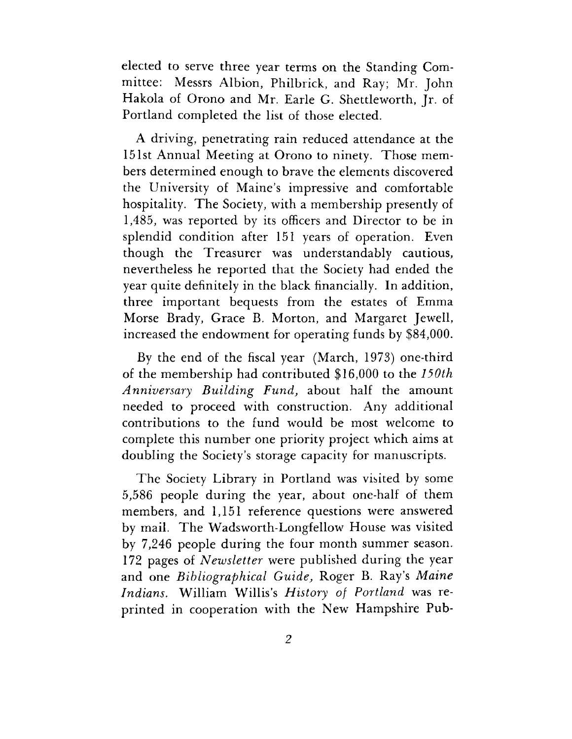elected to serve three year terms on the Standing Committee: Messrs Albion, Philbrick, and Ray; Mr. John Hakola of Orono and Mr. Earle G. Shettleworth, Jr. of Portland completed the list of those elected.

A driving, penetrating rain reduced attendance at the 151st Annual Meeting at Orono to ninety. Those members determined enough to brave the elements discovered the University of Maine's impressive and comfortable hospitality. The Society, with a membership presently of 1,485, was reported by its officers and Director to be in splendid condition after 151 years of operation. Even though the Treasurer was understandably cautious, nevertheless he reported that the Society had ended the year quite definitely in the black financially. In addition, three important bequests from the estates of Emma Morse Brady, Grace B. Morton, and Margaret Jewell, increased the endowment for operating funds by \$84,000.

By the end of the fiscal year (March, 1973) one-third of the membership had contributed \$16,000 to the *150th Anniversary Building Fund,* about half the amount needed to proceed with construction. Any additional contributions to the fund would be most welcome to complete this number one priority project which aims at doubling the Society'<sup>s</sup> storage capacity for manuscripts.

The Society Library in Portland was visited by some 5,586 people during the year, about one-half of them members, and 1,151 reference questions were answered by mail. The Wadsworth-Longfellow House was visited by 7,246 people during the four month summer season. 172 pages of *Newsletter* were published during the year and one *Bibliographical Guide,* Roger B. Ray's *Maine Indians.* William Willis'<sup>s</sup> *History of Portland* was reprinted in cooperation with the New Hampshire Pub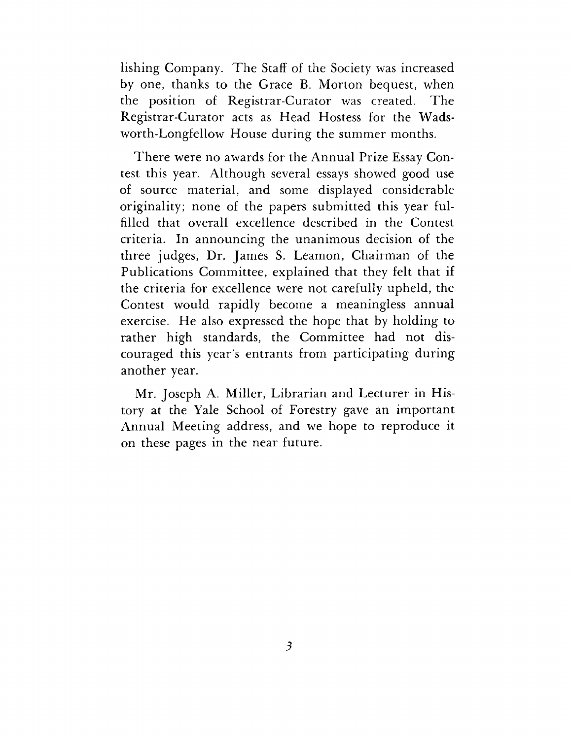lishing Company. The Staff of the Society was increased by one, thanks to the Grace B. Morton bequest, when the position of Registrar-Curator was created. The Registrar-Curator acts as Head Hostess for the Wadsworth-Longfellow House during the summer months.

There were no awards for the Annual Prize Essay Contest this year. Although several essays showed good use of source material, and some displayed considerable originality; none of the papers submitted this year fulfilled that overall excellence described in the Contest criteria. In announcing the unanimous decision of the three judges, Dr. James S. Leamon, Chairman of the Publications Committee, explained that they felt that if the criteria for excellence were not carefully upheld, the Contest would rapidly become a meaningless annual exercise. He also expressed the hope that by holding to rather high standards, the Committee had not discouraged this year's entrants from participating during another year.

Mr. Joseph A. Miller, Librarian and Lecturer in History at the Yale School of Forestry gave an important Annual Meeting address, and we hope to reproduce it on these pages in the near future.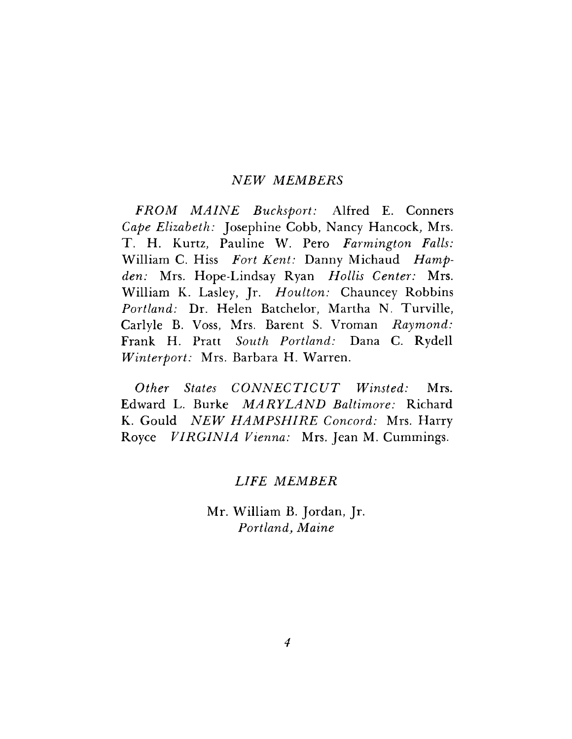#### *MEMBERS*

*FROM MAINE Bucksport:* Alfred E. Conners *Cape Elizabeth:* Josephine Cobb, Nancy Hancock, Mrs. T. H. Kurtz, Pauline W. Pero *Farmington Falls:* William C. Hiss *Fort Kent:* Danny Michaud *Hampden:* Mrs. Hope-Lindsay Ryan *Hollis Center:* Mrs. William K. Lasley, Jr. *Houlton:* Chauncey Robbins *Portland:* Dr. Helen Batchelor, Martha N. Turville, Carlyle B. Voss, Mrs. Barent S. Vroman *Raymond:* Frank H. Pratt *South Portland:* Dana C. Rydell *Winterport:* Mrs. Barbara H. Warren.

*Other States CONNECTICUT Winsted:* Mrs. Edward L. Burke *MARYLAND Baltimore:* Richard K. Gould *NEW HAMPSHIRE Concord:* Mrs. Harry Royce *VIRGINIA Vienna:* Mrs. Jean M. Cummings.

### *LIFE MEMBER*

Mr. William B. Jordan, Jr. *Portland, Maine*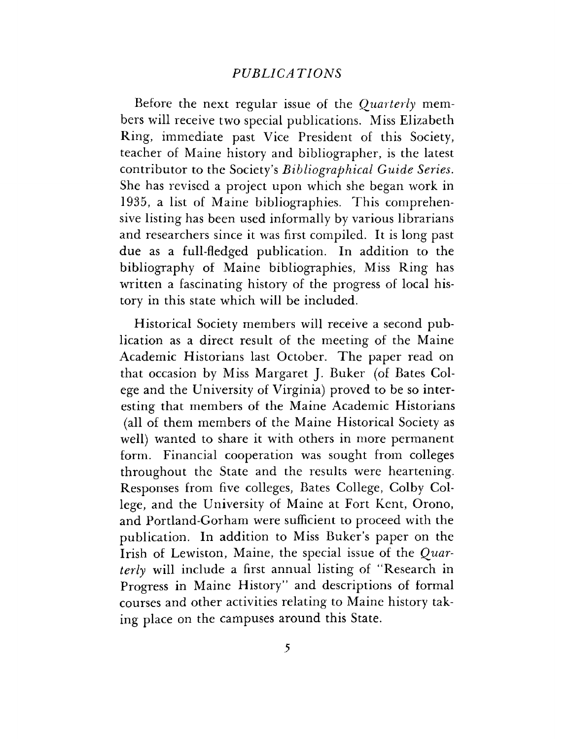#### *PUBLICA TIONS*

Before the next regular issue of the *Quarterly* members will receive two special publications. Miss Elizabeth Ring, immediate past Vice President of this Society, teacher of Maine history and bibliographer, is the latest contributor to the Society'<sup>s</sup> *Bibliographical Guide Series.* She has revised a project upon which she began work in 1935, a list of Maine bibliographies. This comprehensive listing has been used informally by various librarians and researchers since it was first compiled. It is long past due as a full-fledged publication. In addition to the bibliography of Maine bibliographies, Miss Ring has written a fascinating history of the progress of local history in this state which will be included.

Historical Society members will receive a second publication as a direct result of the meeting of the Maine Academic Historians last October. The paper read on that occasion by Miss Margaret J. Buker (of Bates Colege and the University of Virginia) proved to be so interesting that members of the Maine Academic Historians (all of them members of the Maine Historical Society as well) wanted to share it with others in more permanent form. Financial cooperation was sought from colleges throughout the State and the results were heartening. Responses from five colleges, Bates College, Colby College, and the University of Maine at Fort Kent, Orono, and Portland-Gorham were sufficient to proceed with the publication. In addition to Miss Buker'<sup>s</sup> paper on the Irish of Lewiston, Maine, the special issue of the *Quarterly* will include a first annual listing of "Research in Progress in Maine History" and descriptions of formal courses and other activities relating to Maine history taking place on the campuses around this State.